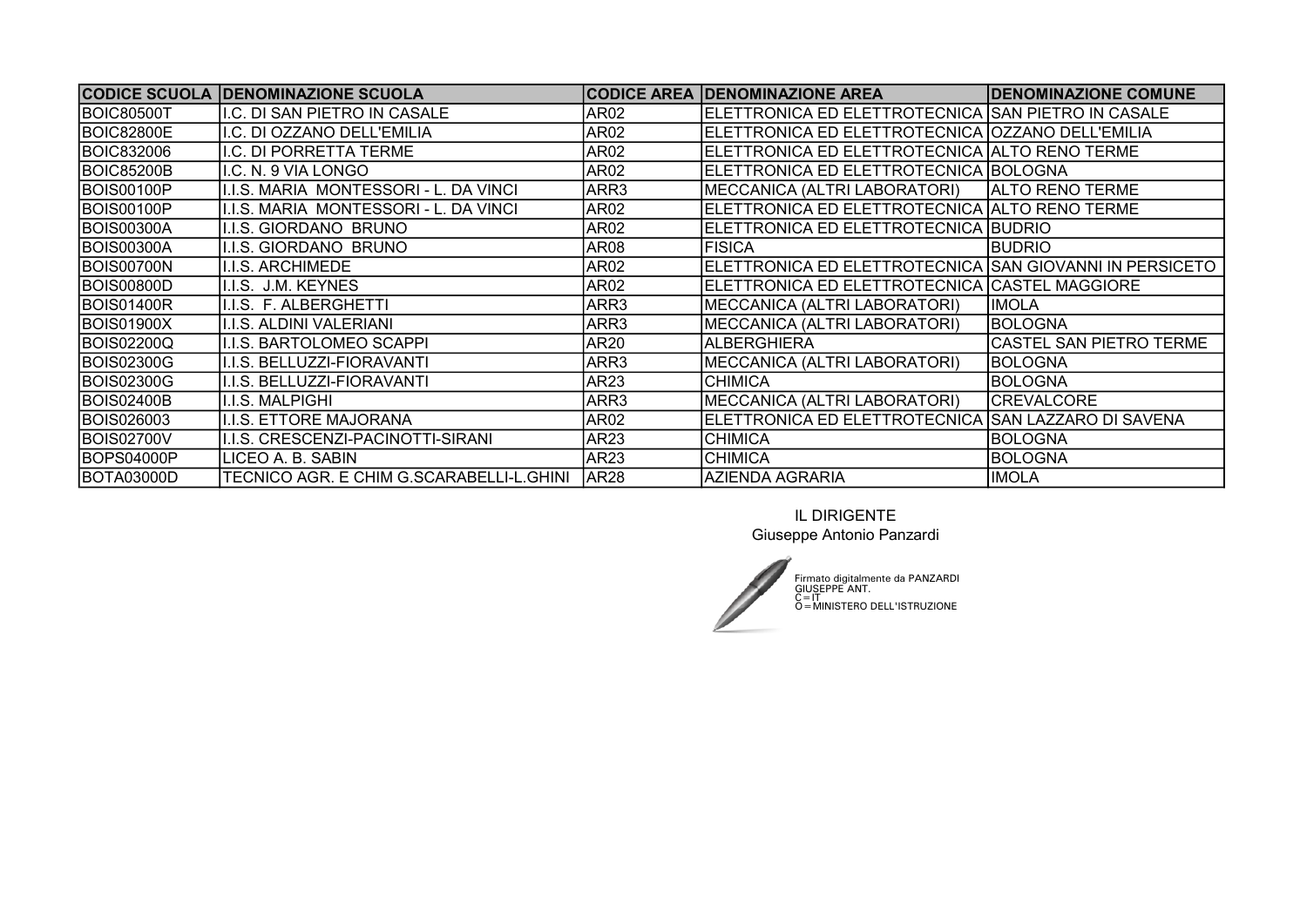| <b>CODICE SCUOLA</b> | <b>IDENOMINAZIONE SCUOLA</b>             | <b>CODICE AREA</b> | <b>DENOMINAZIONE AREA</b>                               | <b>IDENOMINAZIONE COMUNE</b>   |
|----------------------|------------------------------------------|--------------------|---------------------------------------------------------|--------------------------------|
| <b>BOIC80500T</b>    | I.C. DI SAN PIETRO IN CASALE             | AR <sub>02</sub>   | ELETTRONICA ED ELETTROTECNICA SAN PIETRO IN CASALE      |                                |
| <b>BOIC82800E</b>    | I.C. DI OZZANO DELL'EMILIA               | AR02               | ELETTRONICA ED ELETTROTECNICA   OZZANO DELL'EMILIA      |                                |
| <b>BOIC832006</b>    | .C. DI PORRETTA TERME                    | AR02               | ELETTRONICA ED ELETTROTECNICA ALTO RENO TERME           |                                |
| <b>BOIC85200B</b>    | I.C. N. 9 VIA LONGO                      | AR02               | ELETTRONICA ED ELETTROTECNICA BOLOGNA                   |                                |
| BOIS00100P           | .I.S. MARIA MONTESSORI - L. DA VINCI     | ARR3               | MECCANICA (ALTRI LABORATORI)                            | <b>IALTO RENO TERME</b>        |
| <b>BOIS00100P</b>    | .I.S. MARIA MONTESSORI - L. DA VINCI     | AR02               | ELETTRONICA ED ELETTROTECNICA   ALTO RENO TERME         |                                |
| <b>BOIS00300A</b>    | .I.S. GIORDANO BRUNO                     | AR02               | ELETTRONICA ED ELETTROTECNICA BUDRIO                    |                                |
| BOIS00300A           | .I.S. GIORDANO BRUNO                     | AR08               | <b>FISICA</b>                                           | <b>BUDRIO</b>                  |
| BOIS00700N           | <b>J.S. ARCHIMEDE</b>                    | AR02               | ELETTRONICA ED ELETTROTECNICA SAN GIOVANNI IN PERSICETO |                                |
| BOIS00800D           | .I.S. J.M. KEYNES                        | AR02               | ELETTRONICA ED ELETTROTECNICA   CASTEL MAGGIORE         |                                |
| <b>BOIS01400R</b>    | .I.S. F. ALBERGHETTI                     | ARR3               | MECCANICA (ALTRI LABORATORI)                            | <b>IMOLA</b>                   |
| <b>BOIS01900X</b>    | .I.S. ALDINI VALERIANI                   | ARR3               | MECCANICA (ALTRI LABORATORI)                            | BOLOGNA                        |
| BOIS02200Q           | .I.S. BARTOLOMEO SCAPPI                  | AR20               | <b>ALBERGHIERA</b>                                      | <b>CASTEL SAN PIETRO TERME</b> |
| BOIS02300G           | .I.S. BELLUZZI-FIORAVANTI                | ARR3               | MECCANICA (ALTRI LABORATORI)                            | BOLOGNA                        |
| <b>BOIS02300G</b>    | .I.S. BELLUZZI-FIORAVANTI                | AR23               | <b>CHIMICA</b>                                          | IBOLOGNA                       |
| <b>BOIS02400B</b>    | .I.S. MALPIGHI                           | ARR3               | MECCANICA (ALTRI LABORATORI)                            | CREVALCORE                     |
| <b>IBOIS026003</b>   | <b>J.S. ETTORE MAJORANA</b>              | AR02               | ELETTRONICA ED ELETTROTECNICA (SAN LAZZARO DI SAVENA    |                                |
| BOIS02700V           | .I.S. CRESCENZI-PACINOTTI-SIRANI         | AR23               | <b>CHIMICA</b>                                          | BOLOGNA                        |
| BOPS04000P           | LICEO A. B. SABIN                        | AR <sub>23</sub>   | CHIMICA                                                 | BOLOGNA                        |
| BOTA03000D           | TECNICO AGR. E CHIM G.SCARABELLI-L.GHINI | AR <sub>28</sub>   | <b>AZIENDA AGRARIA</b>                                  | <b>IMOLA</b>                   |

IL DIRIGENTE Giuseppe Antonio Panzardi



Firmato digitalmente da PANZARDI<br>GIUSEPPE ANT.<br>C = IT<br>O = MINISTERO DELL'ISTRUZIONE